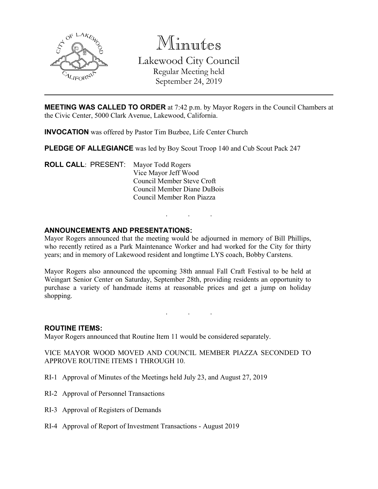

Minutes Lakewood City Council Regular Meeting held September 24, 2019

**MEETING WAS CALLED TO ORDER** at 7:42 p.m. by Mayor Rogers in the Council Chambers at the Civic Center, 5000 Clark Avenue, Lakewood, California.

**INVOCATION** was offered by Pastor Tim Buzbee, Life Center Church

**PLEDGE OF ALLEGIANCE** was led by Boy Scout Troop 140 and Cub Scout Pack 247

**ROLL CALL**: PRESENT: Mayor Todd Rogers Vice Mayor Jeff Wood Council Member Steve Croft Council Member Diane DuBois Council Member Ron Piazza

## **ANNOUNCEMENTS AND PRESENTATIONS:**

Mayor Rogers announced that the meeting would be adjourned in memory of Bill Phillips, who recently retired as a Park Maintenance Worker and had worked for the City for thirty years; and in memory of Lakewood resident and longtime LYS coach, Bobby Carstens.

. . .

Mayor Rogers also announced the upcoming 38th annual Fall Craft Festival to be held at Weingart Senior Center on Saturday, September 28th, providing residents an opportunity to purchase a variety of handmade items at reasonable prices and get a jump on holiday shopping.

. . .

#### **ROUTINE ITEMS:**

Mayor Rogers announced that Routine Item 11 would be considered separately.

VICE MAYOR WOOD MOVED AND COUNCIL MEMBER PIAZZA SECONDED TO APPROVE ROUTINE ITEMS 1 THROUGH 10.

- RI-1 Approval of Minutes of the Meetings held July 23, and August 27, 2019
- RI-2 Approval of Personnel Transactions
- RI-3 Approval of Registers of Demands
- RI-4 Approval of Report of Investment Transactions August 2019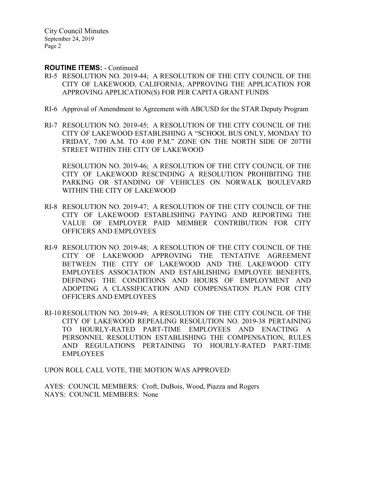### **ROUTINE ITEMS:** - Continued

- RI-5 RESOLUTION NO. 2019-44; A RESOLUTION OF THE CITY COUNCIL OF THE CITY OF LAKEWOOD, CALIFORNIA, APPROVING THE APPLICATION FOR APPROVING APPLICATION(S) FOR PER CAPITA GRANT FUNDS
- RI-6 Approval of Amendment to Agreement with ABCUSD for the STAR Deputy Program
- RI-7 RESOLUTION NO. 2019-45; A RESOLUTION OF THE CITY COUNCIL OF THE CITY OF LAKEWOOD ESTABLISHING A "SCHOOL BUS ONLY, MONDAY TO FRIDAY, 7:00 A.M. TO 4:00 P.M." ZONE ON THE NORTH SIDE OF 207TH STREET WITHIN THE CITY OF LAKEWOOD

RESOLUTION NO. 2019-46; A RESOLUTION OF THE CITY COUNCIL OF THE CITY OF LAKEWOOD RESCINDING A RESOLUTION PROHIBITING THE PARKING OR STANDING OF VEHICLES ON NORWALK BOULEVARD WITHIN THE CITY OF LAKEWOOD

- RI-8 RESOLUTION NO. 2019-47; A RESOLUTION OF THE CITY COUNCIL OF THE CITY OF LAKEWOOD ESTABLISHING PAYING AND REPORTING THE VALUE OF EMPLOYER PAID MEMBER CONTRIBUTION FOR CITY OFFICERS AND EMPLOYEES
- RI-9 RESOLUTION NO. 2019-48; A RESOLUTION OF THE CITY COUNCIL OF THE CITY OF LAKEWOOD APPROVING THE TENTATIVE AGREEMENT BETWEEN THE CITY OF LAKEWOOD AND THE LAKEWOOD CITY EMPLOYEES ASSOCIATION AND ESTABLISHING EMPLOYEE BENEFITS, DEFINING THE CONDITIONS AND HOURS OF EMPLOYMENT AND ADOPTING A CLASSIFICATION AND COMPENSATION PLAN FOR CITY OFFICERS AND EMPLOYEES
- RI-10 RESOLUTION NO. 2019-49; A RESOLUTION OF THE CITY COUNCIL OF THE CITY OF LAKEWOOD REPEALING RESOLUTION NO. 2019-38 PERTAINING TO HOURLY-RATED PART-TIME EMPLOYEES AND ENACTING A PERSONNEL RESOLUTION ESTABLISHING THE COMPENSATION, RULES AND REGULATIONS PERTAINING TO HOURLY-RATED PART-TIME EMPLOYEES

UPON ROLL CALL VOTE, THE MOTION WAS APPROVED:

AYES: COUNCIL MEMBERS: Croft, DuBois, Wood, Piazza and Rogers NAYS: COUNCIL MEMBERS: None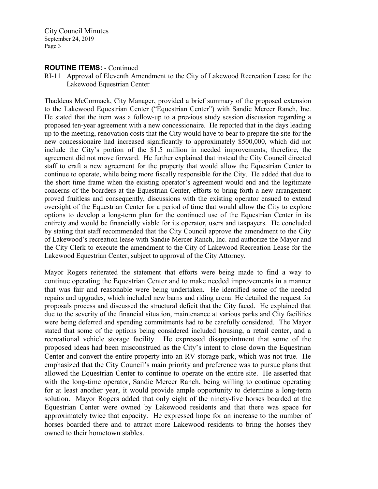## **ROUTINE ITEMS:** - Continued

RI-11 Approval of Eleventh Amendment to the City of Lakewood Recreation Lease for the Lakewood Equestrian Center

Thaddeus McCormack, City Manager, provided a brief summary of the proposed extension to the Lakewood Equestrian Center ("Equestrian Center") with Sandie Mercer Ranch, Inc. He stated that the item was a follow-up to a previous study session discussion regarding a proposed ten-year agreement with a new concessionaire. He reported that in the days leading up to the meeting, renovation costs that the City would have to bear to prepare the site for the new concessionaire had increased significantly to approximately \$500,000, which did not include the City's portion of the \$1.5 million in needed improvements; therefore, the agreement did not move forward. He further explained that instead the City Council directed staff to craft a new agreement for the property that would allow the Equestrian Center to continue to operate, while being more fiscally responsible for the City. He added that due to the short time frame when the existing operator's agreement would end and the legitimate concerns of the boarders at the Equestrian Center, efforts to bring forth a new arrangement proved fruitless and consequently, discussions with the existing operator ensued to extend oversight of the Equestrian Center for a period of time that would allow the City to explore options to develop a long-term plan for the continued use of the Equestrian Center in its entirety and would be financially viable for its operator, users and taxpayers. He concluded by stating that staff recommended that the City Council approve the amendment to the City of Lakewood's recreation lease with Sandie Mercer Ranch, Inc. and authorize the Mayor and the City Clerk to execute the amendment to the City of Lakewood Recreation Lease for the Lakewood Equestrian Center, subject to approval of the City Attorney.

Mayor Rogers reiterated the statement that efforts were being made to find a way to continue operating the Equestrian Center and to make needed improvements in a manner that was fair and reasonable were being undertaken. He identified some of the needed repairs and upgrades, which included new barns and riding arena. He detailed the request for proposals process and discussed the structural deficit that the City faced. He explained that due to the severity of the financial situation, maintenance at various parks and City facilities were being deferred and spending commitments had to be carefully considered. The Mayor stated that some of the options being considered included housing, a retail center, and a recreational vehicle storage facility. He expressed disappointment that some of the proposed ideas had been misconstrued as the City's intent to close down the Equestrian Center and convert the entire property into an RV storage park, which was not true. He emphasized that the City Council's main priority and preference was to pursue plans that allowed the Equestrian Center to continue to operate on the entire site. He asserted that with the long-time operator, Sandie Mercer Ranch, being willing to continue operating for at least another year, it would provide ample opportunity to determine a long-term solution. Mayor Rogers added that only eight of the ninety-five horses boarded at the Equestrian Center were owned by Lakewood residents and that there was space for approximately twice that capacity. He expressed hope for an increase to the number of horses boarded there and to attract more Lakewood residents to bring the horses they owned to their hometown stables.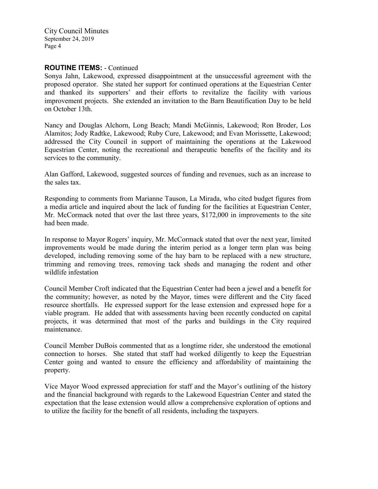# **ROUTINE ITEMS:** - Continued

Sonya Jahn, Lakewood, expressed disappointment at the unsuccessful agreement with the proposed operator. She stated her support for continued operations at the Equestrian Center and thanked its supporters' and their efforts to revitalize the facility with various improvement projects. She extended an invitation to the Barn Beautification Day to be held on October 13th.

Nancy and Douglas Alchorn, Long Beach; Mandi McGinnis, Lakewood; Ron Broder, Los Alamitos; Jody Radtke, Lakewood; Ruby Cure, Lakewood; and Evan Morissette, Lakewood; addressed the City Council in support of maintaining the operations at the Lakewood Equestrian Center, noting the recreational and therapeutic benefits of the facility and its services to the community.

Alan Gafford, Lakewood, suggested sources of funding and revenues, such as an increase to the sales tax.

Responding to comments from Marianne Tauson, La Mirada, who cited budget figures from a media article and inquired about the lack of funding for the facilities at Equestrian Center, Mr. McCormack noted that over the last three years, \$172,000 in improvements to the site had been made.

In response to Mayor Rogers' inquiry, Mr. McCormack stated that over the next year, limited improvements would be made during the interim period as a longer term plan was being developed, including removing some of the hay barn to be replaced with a new structure, trimming and removing trees, removing tack sheds and managing the rodent and other wildlife infestation

Council Member Croft indicated that the Equestrian Center had been a jewel and a benefit for the community; however, as noted by the Mayor, times were different and the City faced resource shortfalls. He expressed support for the lease extension and expressed hope for a viable program. He added that with assessments having been recently conducted on capital projects, it was determined that most of the parks and buildings in the City required maintenance.

Council Member DuBois commented that as a longtime rider, she understood the emotional connection to horses. She stated that staff had worked diligently to keep the Equestrian Center going and wanted to ensure the efficiency and affordability of maintaining the property.

Vice Mayor Wood expressed appreciation for staff and the Mayor's outlining of the history and the financial background with regards to the Lakewood Equestrian Center and stated the expectation that the lease extension would allow a comprehensive exploration of options and to utilize the facility for the benefit of all residents, including the taxpayers.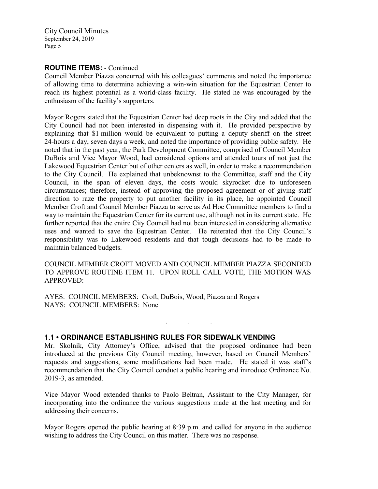## **ROUTINE ITEMS:** - Continued

Council Member Piazza concurred with his colleagues' comments and noted the importance of allowing time to determine achieving a win-win situation for the Equestrian Center to reach its highest potential as a world-class facility. He stated he was encouraged by the enthusiasm of the facility's supporters.

Mayor Rogers stated that the Equestrian Center had deep roots in the City and added that the City Council had not been interested in dispensing with it. He provided perspective by explaining that \$1 million would be equivalent to putting a deputy sheriff on the street 24-hours a day, seven days a week, and noted the importance of providing public safety. He noted that in the past year, the Park Development Committee, comprised of Council Member DuBois and Vice Mayor Wood, had considered options and attended tours of not just the Lakewood Equestrian Center but of other centers as well, in order to make a recommendation to the City Council. He explained that unbeknownst to the Committee, staff and the City Council, in the span of eleven days, the costs would skyrocket due to unforeseen circumstances; therefore, instead of approving the proposed agreement or of giving staff direction to raze the property to put another facility in its place, he appointed Council Member Croft and Council Member Piazza to serve as Ad Hoc Committee members to find a way to maintain the Equestrian Center for its current use, although not in its current state. He further reported that the entire City Council had not been interested in considering alternative uses and wanted to save the Equestrian Center. He reiterated that the City Council's responsibility was to Lakewood residents and that tough decisions had to be made to maintain balanced budgets.

COUNCIL MEMBER CROFT MOVED AND COUNCIL MEMBER PIAZZA SECONDED TO APPROVE ROUTINE ITEM 11. UPON ROLL CALL VOTE, THE MOTION WAS APPROVED:

AYES: COUNCIL MEMBERS: Croft, DuBois, Wood, Piazza and Rogers NAYS: COUNCIL MEMBERS: None

### **1.1 • ORDINANCE ESTABLISHING RULES FOR SIDEWALK VENDING**

Mr. Skolnik, City Attorney's Office, advised that the proposed ordinance had been introduced at the previous City Council meeting, however, based on Council Members' requests and suggestions, some modifications had been made. He stated it was staff's recommendation that the City Council conduct a public hearing and introduce Ordinance No. 2019-3, as amended.

. . .

Vice Mayor Wood extended thanks to Paolo Beltran, Assistant to the City Manager, for incorporating into the ordinance the various suggestions made at the last meeting and for addressing their concerns.

Mayor Rogers opened the public hearing at 8:39 p.m. and called for anyone in the audience wishing to address the City Council on this matter. There was no response.